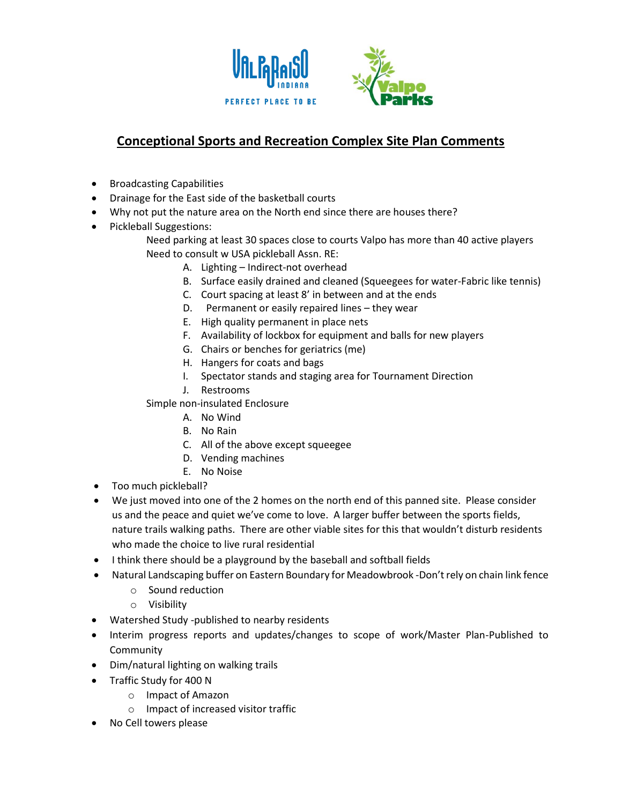

## **Conceptional Sports and Recreation Complex Site Plan Comments**

- Broadcasting Capabilities
- Drainage for the East side of the basketball courts
- Why not put the nature area on the North end since there are houses there?
- Pickleball Suggestions:
	- Need parking at least 30 spaces close to courts Valpo has more than 40 active players Need to consult w USA pickleball Assn. RE:
		- A. Lighting Indirect-not overhead
		- B. Surface easily drained and cleaned (Squeegees for water-Fabric like tennis)
		- C. Court spacing at least 8' in between and at the ends
		- D. Permanent or easily repaired lines they wear
		- E. High quality permanent in place nets
		- F. Availability of lockbox for equipment and balls for new players
		- G. Chairs or benches for geriatrics (me)
		- H. Hangers for coats and bags
		- I. Spectator stands and staging area for Tournament Direction
		- J. Restrooms
	- Simple non-insulated Enclosure
		- A. No Wind
		- B. No Rain
		- C. All of the above except squeegee
		- D. Vending machines
		- E. No Noise
- Too much pickleball?
- We just moved into one of the 2 homes on the north end of this panned site. Please consider us and the peace and quiet we've come to love. A larger buffer between the sports fields, nature trails walking paths. There are other viable sites for this that wouldn't disturb residents who made the choice to live rural residential
- I think there should be a playground by the baseball and softball fields
- Natural Landscaping buffer on Eastern Boundary for Meadowbrook -Don't rely on chain link fence
	- o Sound reduction
	- o Visibility
- Watershed Study -published to nearby residents
- Interim progress reports and updates/changes to scope of work/Master Plan-Published to **Community**
- Dim/natural lighting on walking trails
- Traffic Study for 400 N
	- o Impact of Amazon
	- o Impact of increased visitor traffic
- No Cell towers please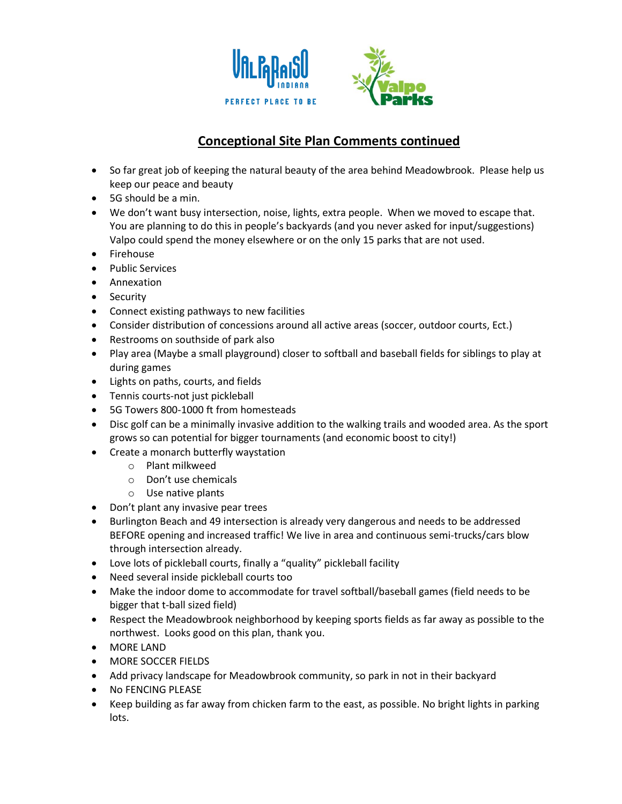

## **Conceptional Site Plan Comments continued**

- So far great job of keeping the natural beauty of the area behind Meadowbrook. Please help us keep our peace and beauty
- 5G should be a min.
- We don't want busy intersection, noise, lights, extra people. When we moved to escape that. You are planning to do this in people's backyards (and you never asked for input/suggestions) Valpo could spend the money elsewhere or on the only 15 parks that are not used.
- Firehouse
- Public Services
- Annexation
- Security
- Connect existing pathways to new facilities
- Consider distribution of concessions around all active areas (soccer, outdoor courts, Ect.)
- Restrooms on southside of park also
- Play area (Maybe a small playground) closer to softball and baseball fields for siblings to play at during games
- Lights on paths, courts, and fields
- Tennis courts-not just pickleball
- 5G Towers 800-1000 ft from homesteads
- Disc golf can be a minimally invasive addition to the walking trails and wooded area. As the sport grows so can potential for bigger tournaments (and economic boost to city!)
- Create a monarch butterfly waystation
	- o Plant milkweed
		- o Don't use chemicals
		- o Use native plants
- Don't plant any invasive pear trees
- Burlington Beach and 49 intersection is already very dangerous and needs to be addressed BEFORE opening and increased traffic! We live in area and continuous semi-trucks/cars blow through intersection already.
- Love lots of pickleball courts, finally a "quality" pickleball facility
- Need several inside pickleball courts too
- Make the indoor dome to accommodate for travel softball/baseball games (field needs to be bigger that t-ball sized field)
- Respect the Meadowbrook neighborhood by keeping sports fields as far away as possible to the northwest. Looks good on this plan, thank you.
- MORE LAND
- MORE SOCCER FIELDS
- Add privacy landscape for Meadowbrook community, so park in not in their backyard
- No FENCING PLEASE
- Keep building as far away from chicken farm to the east, as possible. No bright lights in parking lots.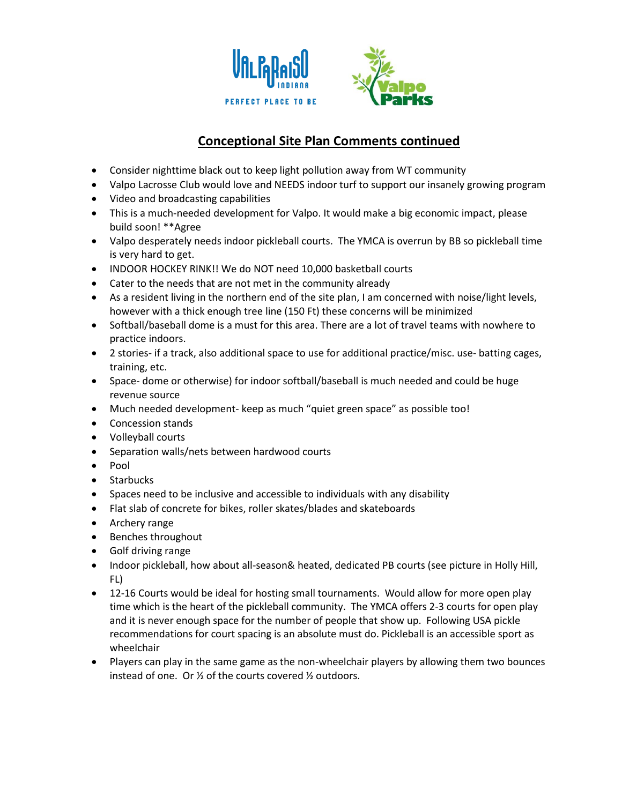

## **Conceptional Site Plan Comments continued**

- Consider nighttime black out to keep light pollution away from WT community
- Valpo Lacrosse Club would love and NEEDS indoor turf to support our insanely growing program
- Video and broadcasting capabilities
- This is a much-needed development for Valpo. It would make a big economic impact, please build soon! \*\*Agree
- Valpo desperately needs indoor pickleball courts. The YMCA is overrun by BB so pickleball time is very hard to get.
- INDOOR HOCKEY RINK!! We do NOT need 10,000 basketball courts
- Cater to the needs that are not met in the community already
- As a resident living in the northern end of the site plan, I am concerned with noise/light levels, however with a thick enough tree line (150 Ft) these concerns will be minimized
- Softball/baseball dome is a must for this area. There are a lot of travel teams with nowhere to practice indoors.
- 2 stories- if a track, also additional space to use for additional practice/misc. use- batting cages, training, etc.
- Space- dome or otherwise) for indoor softball/baseball is much needed and could be huge revenue source
- Much needed development- keep as much "quiet green space" as possible too!
- Concession stands
- Volleyball courts
- Separation walls/nets between hardwood courts
- Pool
- Starbucks
- Spaces need to be inclusive and accessible to individuals with any disability
- Flat slab of concrete for bikes, roller skates/blades and skateboards
- Archery range
- Benches throughout
- Golf driving range
- Indoor pickleball, how about all-season& heated, dedicated PB courts (see picture in Holly Hill, FL)
- 12-16 Courts would be ideal for hosting small tournaments. Would allow for more open play time which is the heart of the pickleball community. The YMCA offers 2-3 courts for open play and it is never enough space for the number of people that show up. Following USA pickle recommendations for court spacing is an absolute must do. Pickleball is an accessible sport as wheelchair
- Players can play in the same game as the non-wheelchair players by allowing them two bounces instead of one. Or ½ of the courts covered ½ outdoors.